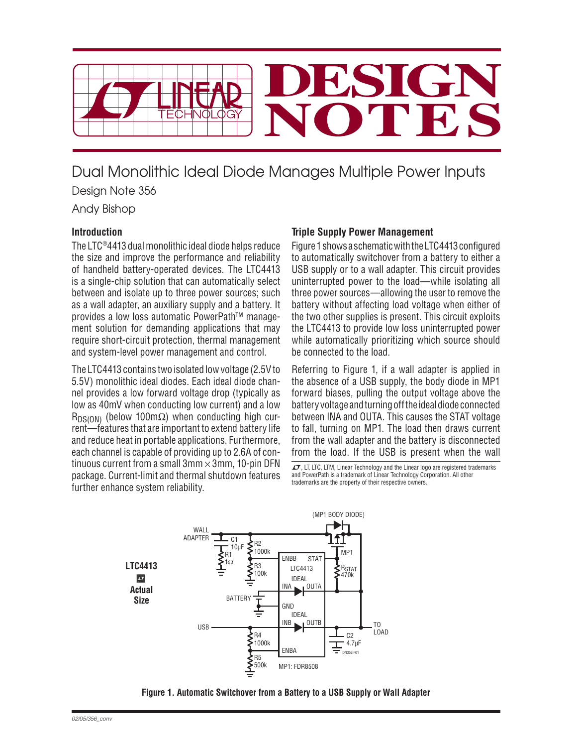

Dual Monolithic Ideal Diode Manages Multiple Power Inputs Design Note 356

Andy Bishop

## **Introduction**

The LTC®4413 dual monolithic ideal diode helps reduce the size and improve the performance and reliability of handheld battery-operated devices. The LTC4413 is a single-chip solution that can automatically select between and isolate up to three power sources; such as a wall adapter, an auxiliary supply and a battery. It provides a low loss automatic PowerPath™ management solution for demanding applications that may require short-circuit protection, thermal management and system-level power management and control.

The LTC4413 contains two isolated low voltage (2.5V to 5.5V) monolithic ideal diodes. Each ideal diode channel provides a low forward voltage drop (typically as low as 40mV when conducting low current) and a low  $R_{DS(ON)}$  (below 100m $\Omega$ ) when conducting high current—features that are important to extend battery life and reduce heat in portable applications. Furthermore, each channel is capable of providing up to 2.6A of continuous current from a small  $3mm \times 3mm$ , 10-pin DFN package. Current-limit and thermal shutdown features further enhance system reliability.

## **Triple Supply Power Management**

Figure 1 shows a schematic with the LTC4413 configured to automatically switchover from a battery to either a USB supply or to a wall adapter. This circuit provides uninterrupted power to the load—while isolating all three power sources—allowing the user to remove the battery without affecting load voltage when either of the two other supplies is present. This circuit exploits the LTC4413 to provide low loss uninterrupted power while automatically prioritizing which source should be connected to the load.

Referring to Figure 1, if a wall adapter is applied in the absence of a USB supply, the body diode in MP1 forward biases, pulling the output voltage above the battery voltage and turning off the ideal diode connected between INA and OUTA. This causes the STAT voltage to fall, turning on MP1. The load then draws current from the wall adapter and the battery is disconnected from the load. If the USB is present when the wall

 $\mathcal{I}$ , LT, LTC, LTM, Linear Technology and the Linear logo are registered trademarks and PowerPath is a trademark of Linear Technology Corporation. All other trademarks are the property of their respective owners.



**Figure 1. Automatic Switchover from a Battery to a USB Supply or Wall Adapter**